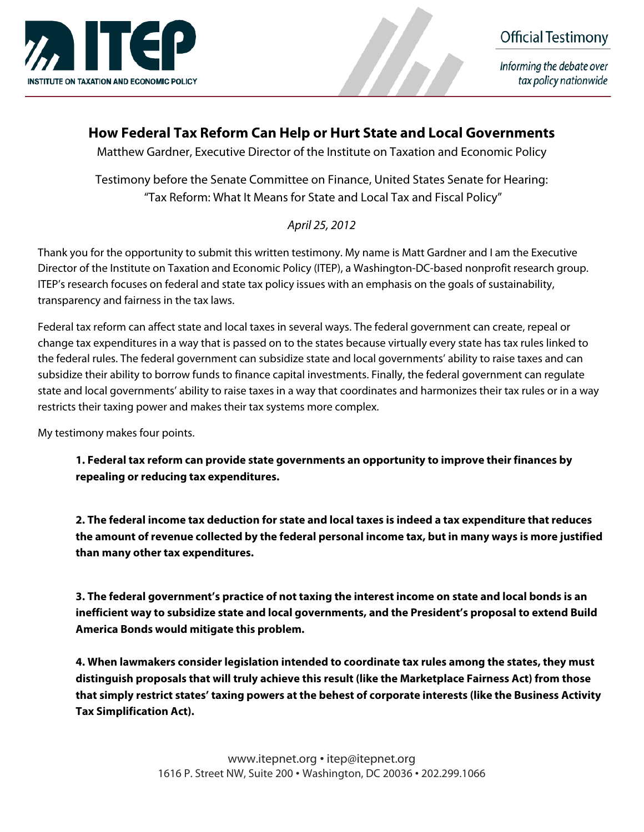



Informing the debate over tax policy nationwide

# **How Federal Tax Reform Can Help or Hurt State and Local Governments**

Matthew Gardner, Executive Director of the Institute on Taxation and Economic Policy

Testimony before the Senate Committee on Finance, United States Senate for Hearing: "Tax Reform: What It Means for State and Local Tax and Fiscal Policy"

## April 25, 2012

Thank you for the opportunity to submit this written testimony. My name is Matt Gardner and I am the Executive Director of the Institute on Taxation and Economic Policy (ITEP), a Washington-DC-based nonprofit research group. ITEP's research focuses on federal and state tax policy issues with an emphasis on the goals of sustainability, transparency and fairness in the tax laws.

Federal tax reform can affect state and local taxes in several ways. The federal government can create, repeal or change tax expenditures in a way that is passed on to the states because virtually every state has tax rules linked to the federal rules. The federal government can subsidize state and local governments' ability to raise taxes and can subsidize their ability to borrow funds to finance capital investments. Finally, the federal government can regulate state and local governments' ability to raise taxes in a way that coordinates and harmonizes their tax rules or in a way restricts their taxing power and makes their tax systems more complex.

My testimony makes four points.

**1. Federal tax reform can provide state governments an opportunity to improve their finances by repealing or reducing tax expenditures.** 

**2. The federal income tax deduction for state and local taxes is indeed a tax expenditure that reduces the amount of revenue collected by the federal personal income tax, but in many ways is more justified than many other tax expenditures.** 

**3. The federal government's practice of not taxing the interest income on state and local bonds is an inefficient way to subsidize state and local governments, and the President's proposal to extend Build America Bonds would mitigate this problem.** 

**4. When lawmakers consider legislation intended to coordinate tax rules among the states, they must distinguish proposals that will truly achieve this result (like the Marketplace Fairness Act) from those that simply restrict states' taxing powers at the behest of corporate interests (like the Business Activity Tax Simplification Act).**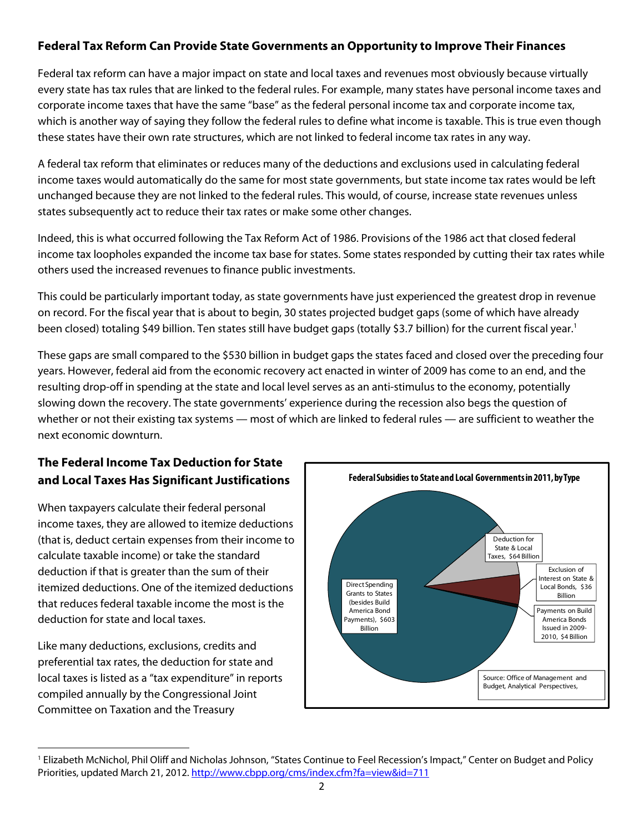## **Federal Tax Reform Can Provide State Governments an Opportunity to Improve Their Finances**

Federal tax reform can have a major impact on state and local taxes and revenues most obviously because virtually every state has tax rules that are linked to the federal rules. For example, many states have personal income taxes and corporate income taxes that have the same "base" as the federal personal income tax and corporate income tax, which is another way of saying they follow the federal rules to define what income is taxable. This is true even though these states have their own rate structures, which are not linked to federal income tax rates in any way.

A federal tax reform that eliminates or reduces many of the deductions and exclusions used in calculating federal income taxes would automatically do the same for most state governments, but state income tax rates would be left unchanged because they are not linked to the federal rules. This would, of course, increase state revenues unless states subsequently act to reduce their tax rates or make some other changes.

Indeed, this is what occurred following the Tax Reform Act of 1986. Provisions of the 1986 act that closed federal income tax loopholes expanded the income tax base for states. Some states responded by cutting their tax rates while others used the increased revenues to finance public investments.

This could be particularly important today, as state governments have just experienced the greatest drop in revenue on record. For the fiscal year that is about to begin, 30 states projected budget gaps (some of which have already been closed) totaling \$49 billion. Ten states still have budget gaps (totally \$3.7 billion) for the current fiscal year.<sup>1</sup>

These gaps are small compared to the \$530 billion in budget gaps the states faced and closed over the preceding four years. However, federal aid from the economic recovery act enacted in winter of 2009 has come to an end, and the resulting drop-off in spending at the state and local level serves as an anti-stimulus to the economy, potentially slowing down the recovery. The state governments' experience during the recession also begs the question of whether or not their existing tax systems — most of which are linked to federal rules — are sufficient to weather the next economic downturn.

# **The Federal Income Tax Deduction for State and Local Taxes Has Significant Justifications**

When taxpayers calculate their federal personal income taxes, they are allowed to itemize deductions (that is, deduct certain expenses from their income to calculate taxable income) or take the standard deduction if that is greater than the sum of their itemized deductions. One of the itemized deductions that reduces federal taxable income the most is the deduction for state and local taxes.

Like many deductions, exclusions, credits and preferential tax rates, the deduction for state and local taxes is listed as a "tax expenditure" in reports compiled annually by the Congressional Joint Committee on Taxation and the Treasury



 1 Elizabeth McNichol, Phil Oliff and Nicholas Johnson, "States Continue to Feel Recession's Impact," Center on Budget and Policy Priorities, updated March 21, 2012. http://www.cbpp.org/cms/index.cfm?fa=view&id=711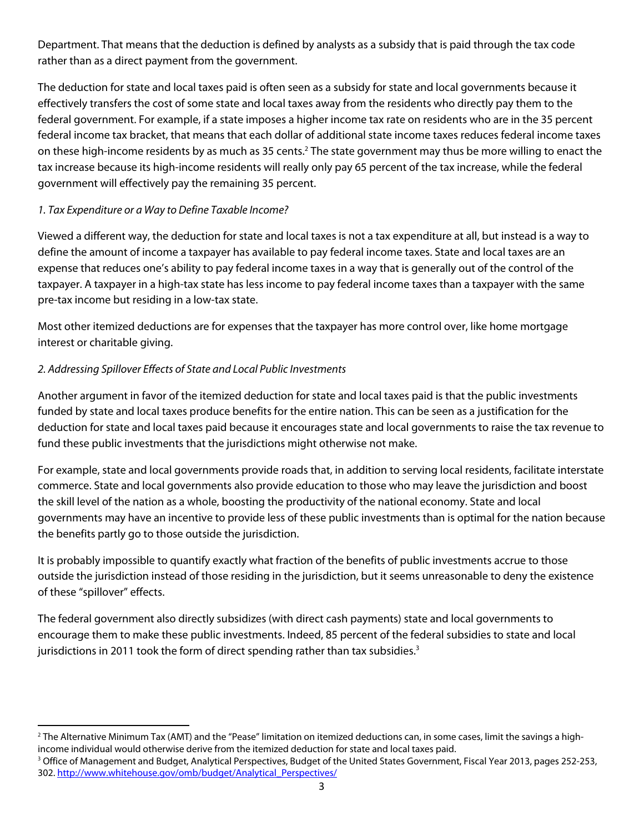Department. That means that the deduction is defined by analysts as a subsidy that is paid through the tax code rather than as a direct payment from the government.

The deduction for state and local taxes paid is often seen as a subsidy for state and local governments because it effectively transfers the cost of some state and local taxes away from the residents who directly pay them to the federal government. For example, if a state imposes a higher income tax rate on residents who are in the 35 percent federal income tax bracket, that means that each dollar of additional state income taxes reduces federal income taxes on these high-income residents by as much as 35 cents.<sup>2</sup> The state government may thus be more willing to enact the tax increase because its high-income residents will really only pay 65 percent of the tax increase, while the federal government will effectively pay the remaining 35 percent.

### 1. Tax Expenditure or a Way to Define Taxable Income?

Viewed a different way, the deduction for state and local taxes is not a tax expenditure at all, but instead is a way to define the amount of income a taxpayer has available to pay federal income taxes. State and local taxes are an expense that reduces one's ability to pay federal income taxes in a way that is generally out of the control of the taxpayer. A taxpayer in a high-tax state has less income to pay federal income taxes than a taxpayer with the same pre-tax income but residing in a low-tax state.

Most other itemized deductions are for expenses that the taxpayer has more control over, like home mortgage interest or charitable giving.

## 2. Addressing Spillover Effects of State and Local Public Investments

Another argument in favor of the itemized deduction for state and local taxes paid is that the public investments funded by state and local taxes produce benefits for the entire nation. This can be seen as a justification for the deduction for state and local taxes paid because it encourages state and local governments to raise the tax revenue to fund these public investments that the jurisdictions might otherwise not make.

For example, state and local governments provide roads that, in addition to serving local residents, facilitate interstate commerce. State and local governments also provide education to those who may leave the jurisdiction and boost the skill level of the nation as a whole, boosting the productivity of the national economy. State and local governments may have an incentive to provide less of these public investments than is optimal for the nation because the benefits partly go to those outside the jurisdiction.

It is probably impossible to quantify exactly what fraction of the benefits of public investments accrue to those outside the jurisdiction instead of those residing in the jurisdiction, but it seems unreasonable to deny the existence of these "spillover" effects.

The federal government also directly subsidizes (with direct cash payments) state and local governments to encourage them to make these public investments. Indeed, 85 percent of the federal subsidies to state and local jurisdictions in 2011 took the form of direct spending rather than tax subsidies.<sup>3</sup>

 $^{\rm 2}$ The Alternative Minimum Tax (AMT) and the "Pease" limitation on itemized deductions can, in some cases, limit the savings a highincome individual would otherwise derive from the itemized deduction for state and local taxes paid. 3 <sup>3</sup> Office of Management and Budget, Analytical Perspectives, Budget of the United States Government, Fiscal Year 2013, pages 252-253,

<sup>302.</sup> http://www.whitehouse.gov/omb/budget/Analytical\_Perspectives/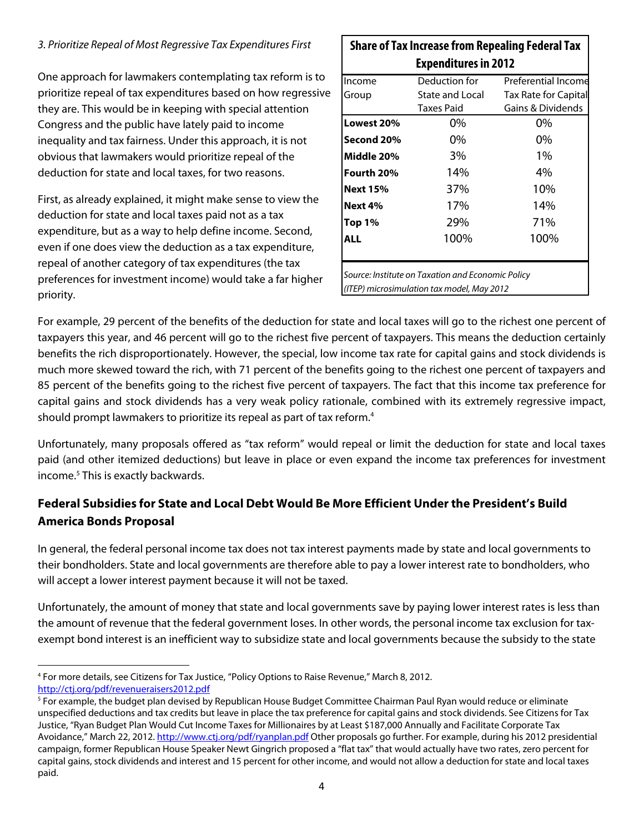#### 3. Prioritize Repeal of Most Regressive Tax Expenditures First

One approach for lawmakers contemplating tax reform is to prioritize repeal of tax expenditures based on how regressive they are. This would be in keeping with special attention Congress and the public have lately paid to income inequality and tax fairness. Under this approach, it is not obvious that lawmakers would prioritize repeal of the deduction for state and local taxes, for two reasons.

First, as already explained, it might make sense to view the deduction for state and local taxes paid not as a tax expenditure, but as a way to help define income. Second, even if one does view the deduction as a tax expenditure, repeal of another category of tax expenditures (the tax preferences for investment income) would take a far higher priority.

| <b>Expenditures in 2012</b> |                                                   |                             |
|-----------------------------|---------------------------------------------------|-----------------------------|
| Income                      | Deduction for                                     | Preferential Income         |
| Group                       | State and Local                                   | <b>Tax Rate for Capital</b> |
|                             | <b>Taxes Paid</b>                                 | Gains & Dividends           |
| Lowest 20%                  | 0%                                                | 0%                          |
| Second 20%                  | 0%                                                | 0%                          |
| Middle 20%                  | 3%                                                | $1\%$                       |
| Fourth 20%                  | 14%                                               | $4\%$                       |
| <b>Next 15%</b>             | 37%                                               | 10%                         |
| Next 4%                     | 17%                                               | 14%                         |
| Top 1%                      | 29%                                               | 71%                         |
| ALL                         | 100%                                              | 100%                        |
|                             |                                                   |                             |
|                             | Source: Institute on Taxation and Economic Policy |                             |
|                             | (ITEP) microsimulation tax model, May 2012        |                             |

**Share of Tax Increase from Repealing Federal Tax** 

For example, 29 percent of the benefits of the deduction for state and local taxes will go to the richest one percent of taxpayers this year, and 46 percent will go to the richest five percent of taxpayers. This means the deduction certainly benefits the rich disproportionately. However, the special, low income tax rate for capital gains and stock dividends is much more skewed toward the rich, with 71 percent of the benefits going to the richest one percent of taxpayers and 85 percent of the benefits going to the richest five percent of taxpayers. The fact that this income tax preference for capital gains and stock dividends has a very weak policy rationale, combined with its extremely regressive impact, should prompt lawmakers to prioritize its repeal as part of tax reform.4

Unfortunately, many proposals offered as "tax reform" would repeal or limit the deduction for state and local taxes paid (and other itemized deductions) but leave in place or even expand the income tax preferences for investment income.<sup>5</sup> This is exactly backwards.

# **Federal Subsidies for State and Local Debt Would Be More Efficient Under the President's Build America Bonds Proposal**

In general, the federal personal income tax does not tax interest payments made by state and local governments to their bondholders. State and local governments are therefore able to pay a lower interest rate to bondholders, who will accept a lower interest payment because it will not be taxed.

Unfortunately, the amount of money that state and local governments save by paying lower interest rates is less than the amount of revenue that the federal government loses. In other words, the personal income tax exclusion for taxexempt bond interest is an inefficient way to subsidize state and local governments because the subsidy to the state

 4 For more details, see Citizens for Tax Justice, "Policy Options to Raise Revenue," March 8, 2012. http://ctj.org/pdf/revenueraisers2012.pdf

<sup>&</sup>lt;sup>5</sup> For example, the budget plan devised by Republican House Budget Committee Chairman Paul Ryan would reduce or eliminate unspecified deductions and tax credits but leave in place the tax preference for capital gains and stock dividends. See Citizens for Tax Justice, "Ryan Budget Plan Would Cut Income Taxes for Millionaires by at Least \$187,000 Annually and Facilitate Corporate Tax Avoidance," March 22, 2012. http://www.ctj.org/pdf/ryanplan.pdf Other proposals go further. For example, during his 2012 presidential campaign, former Republican House Speaker Newt Gingrich proposed a "flat tax" that would actually have two rates, zero percent for capital gains, stock dividends and interest and 15 percent for other income, and would not allow a deduction for state and local taxes paid.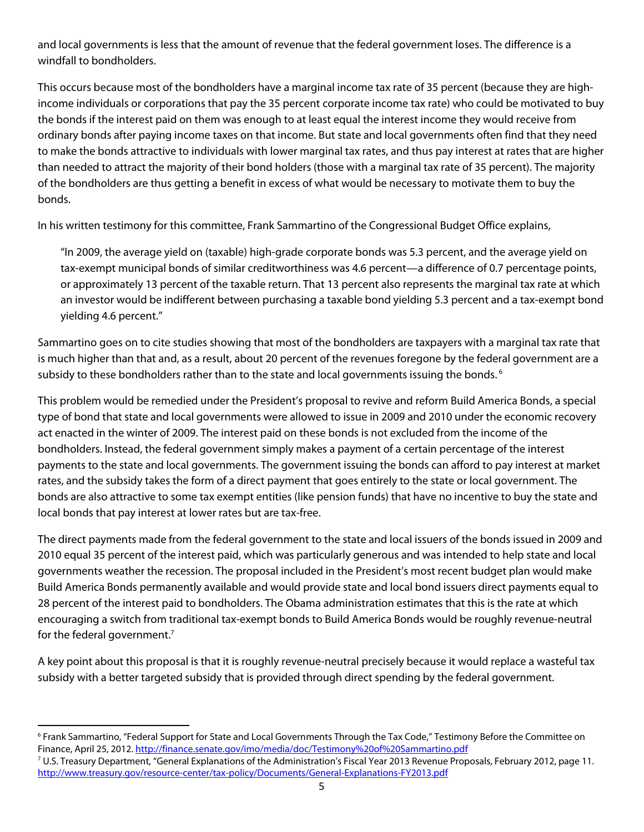and local governments is less that the amount of revenue that the federal government loses. The difference is a windfall to bondholders.

This occurs because most of the bondholders have a marginal income tax rate of 35 percent (because they are highincome individuals or corporations that pay the 35 percent corporate income tax rate) who could be motivated to buy the bonds if the interest paid on them was enough to at least equal the interest income they would receive from ordinary bonds after paying income taxes on that income. But state and local governments often find that they need to make the bonds attractive to individuals with lower marginal tax rates, and thus pay interest at rates that are higher than needed to attract the majority of their bond holders (those with a marginal tax rate of 35 percent). The majority of the bondholders are thus getting a benefit in excess of what would be necessary to motivate them to buy the bonds.

In his written testimony for this committee, Frank Sammartino of the Congressional Budget Office explains,

"In 2009, the average yield on (taxable) high-grade corporate bonds was 5.3 percent, and the average yield on tax-exempt municipal bonds of similar creditworthiness was 4.6 percent—a difference of 0.7 percentage points, or approximately 13 percent of the taxable return. That 13 percent also represents the marginal tax rate at which an investor would be indifferent between purchasing a taxable bond yielding 5.3 percent and a tax-exempt bond yielding 4.6 percent."

Sammartino goes on to cite studies showing that most of the bondholders are taxpayers with a marginal tax rate that is much higher than that and, as a result, about 20 percent of the revenues foregone by the federal government are a subsidy to these bondholders rather than to the state and local governments issuing the bonds.<sup>6</sup>

This problem would be remedied under the President's proposal to revive and reform Build America Bonds, a special type of bond that state and local governments were allowed to issue in 2009 and 2010 under the economic recovery act enacted in the winter of 2009. The interest paid on these bonds is not excluded from the income of the bondholders. Instead, the federal government simply makes a payment of a certain percentage of the interest payments to the state and local governments. The government issuing the bonds can afford to pay interest at market rates, and the subsidy takes the form of a direct payment that goes entirely to the state or local government. The bonds are also attractive to some tax exempt entities (like pension funds) that have no incentive to buy the state and local bonds that pay interest at lower rates but are tax-free.

The direct payments made from the federal government to the state and local issuers of the bonds issued in 2009 and 2010 equal 35 percent of the interest paid, which was particularly generous and was intended to help state and local governments weather the recession. The proposal included in the President's most recent budget plan would make Build America Bonds permanently available and would provide state and local bond issuers direct payments equal to 28 percent of the interest paid to bondholders. The Obama administration estimates that this is the rate at which encouraging a switch from traditional tax-exempt bonds to Build America Bonds would be roughly revenue-neutral for the federal government.<sup>7</sup>

A key point about this proposal is that it is roughly revenue-neutral precisely because it would replace a wasteful tax subsidy with a better targeted subsidy that is provided through direct spending by the federal government.

 $^6$  Frank Sammartino, "Federal Support for State and Local Governments Through the Tax Code," Testimony Before the Committee on Finance, April 25, 2012. http://finance.senate.gov/imo/media/doc/Testimony%20of%20Sammartino.pdf 7 <sup>7</sup> U.S. Treasury Department, "General Explanations of the Administration's Fiscal Year 2013 Revenue Proposals, February 2012, page 11.

http://www.treasury.gov/resource-center/tax-policy/Documents/General-Explanations-FY2013.pdf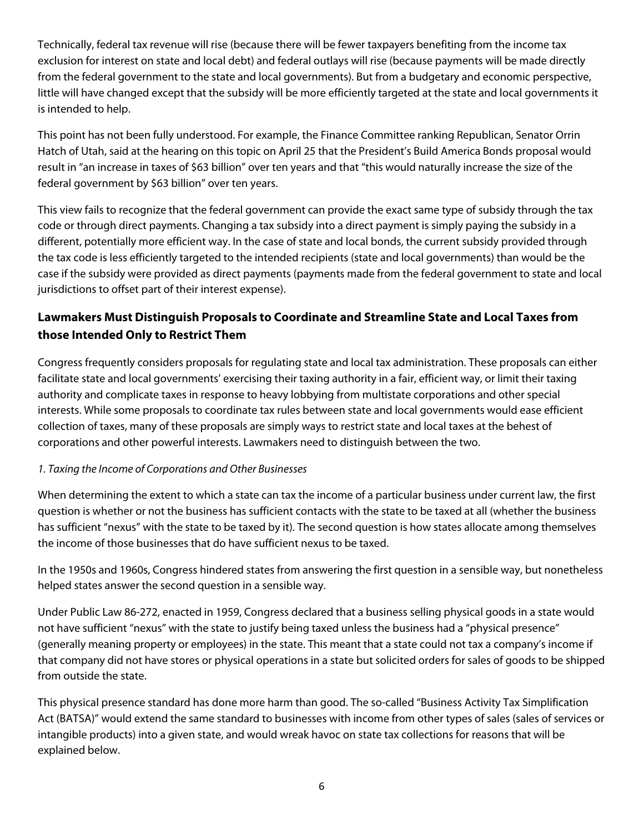Technically, federal tax revenue will rise (because there will be fewer taxpayers benefiting from the income tax exclusion for interest on state and local debt) and federal outlays will rise (because payments will be made directly from the federal government to the state and local governments). But from a budgetary and economic perspective, little will have changed except that the subsidy will be more efficiently targeted at the state and local governments it is intended to help.

This point has not been fully understood. For example, the Finance Committee ranking Republican, Senator Orrin Hatch of Utah, said at the hearing on this topic on April 25 that the President's Build America Bonds proposal would result in "an increase in taxes of \$63 billion" over ten years and that "this would naturally increase the size of the federal government by \$63 billion" over ten years.

This view fails to recognize that the federal government can provide the exact same type of subsidy through the tax code or through direct payments. Changing a tax subsidy into a direct payment is simply paying the subsidy in a different, potentially more efficient way. In the case of state and local bonds, the current subsidy provided through the tax code is less efficiently targeted to the intended recipients (state and local governments) than would be the case if the subsidy were provided as direct payments (payments made from the federal government to state and local jurisdictions to offset part of their interest expense).

# **Lawmakers Must Distinguish Proposals to Coordinate and Streamline State and Local Taxes from those Intended Only to Restrict Them**

Congress frequently considers proposals for regulating state and local tax administration. These proposals can either facilitate state and local governments' exercising their taxing authority in a fair, efficient way, or limit their taxing authority and complicate taxes in response to heavy lobbying from multistate corporations and other special interests. While some proposals to coordinate tax rules between state and local governments would ease efficient collection of taxes, many of these proposals are simply ways to restrict state and local taxes at the behest of corporations and other powerful interests. Lawmakers need to distinguish between the two.

### 1. Taxing the Income of Corporations and Other Businesses

When determining the extent to which a state can tax the income of a particular business under current law, the first question is whether or not the business has sufficient contacts with the state to be taxed at all (whether the business has sufficient "nexus" with the state to be taxed by it). The second question is how states allocate among themselves the income of those businesses that do have sufficient nexus to be taxed.

In the 1950s and 1960s, Congress hindered states from answering the first question in a sensible way, but nonetheless helped states answer the second question in a sensible way.

Under Public Law 86-272, enacted in 1959, Congress declared that a business selling physical goods in a state would not have sufficient "nexus" with the state to justify being taxed unless the business had a "physical presence" (generally meaning property or employees) in the state. This meant that a state could not tax a company's income if that company did not have stores or physical operations in a state but solicited orders for sales of goods to be shipped from outside the state.

This physical presence standard has done more harm than good. The so-called "Business Activity Tax Simplification Act (BATSA)" would extend the same standard to businesses with income from other types of sales (sales of services or intangible products) into a given state, and would wreak havoc on state tax collections for reasons that will be explained below.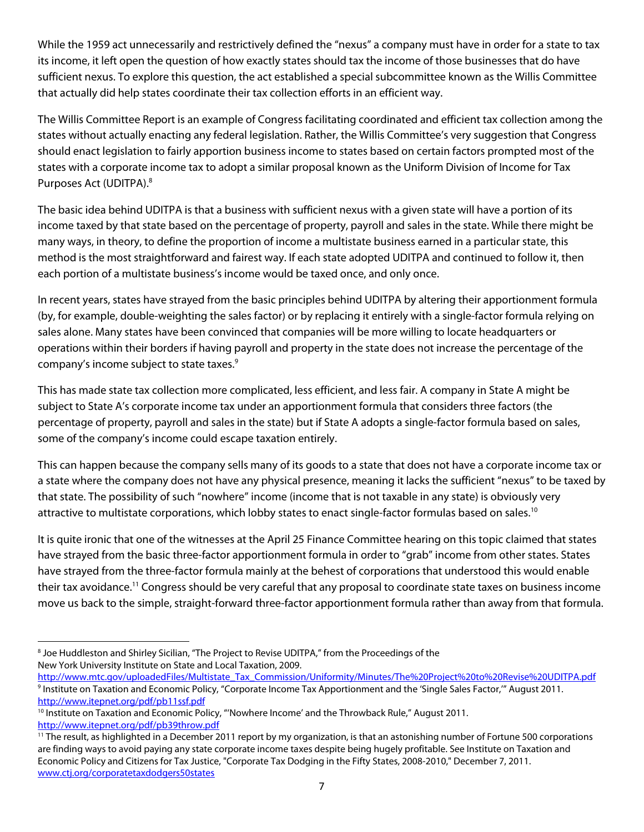While the 1959 act unnecessarily and restrictively defined the "nexus" a company must have in order for a state to tax its income, it left open the question of how exactly states should tax the income of those businesses that do have sufficient nexus. To explore this question, the act established a special subcommittee known as the Willis Committee that actually did help states coordinate their tax collection efforts in an efficient way.

The Willis Committee Report is an example of Congress facilitating coordinated and efficient tax collection among the states without actually enacting any federal legislation. Rather, the Willis Committee's very suggestion that Congress should enact legislation to fairly apportion business income to states based on certain factors prompted most of the states with a corporate income tax to adopt a similar proposal known as the Uniform Division of Income for Tax Purposes Act (UDITPA).<sup>8</sup>

The basic idea behind UDITPA is that a business with sufficient nexus with a given state will have a portion of its income taxed by that state based on the percentage of property, payroll and sales in the state. While there might be many ways, in theory, to define the proportion of income a multistate business earned in a particular state, this method is the most straightforward and fairest way. If each state adopted UDITPA and continued to follow it, then each portion of a multistate business's income would be taxed once, and only once.

In recent years, states have strayed from the basic principles behind UDITPA by altering their apportionment formula (by, for example, double-weighting the sales factor) or by replacing it entirely with a single-factor formula relying on sales alone. Many states have been convinced that companies will be more willing to locate headquarters or operations within their borders if having payroll and property in the state does not increase the percentage of the company's income subject to state taxes.<sup>9</sup>

This has made state tax collection more complicated, less efficient, and less fair. A company in State A might be subject to State A's corporate income tax under an apportionment formula that considers three factors (the percentage of property, payroll and sales in the state) but if State A adopts a single-factor formula based on sales, some of the company's income could escape taxation entirely.

This can happen because the company sells many of its goods to a state that does not have a corporate income tax or a state where the company does not have any physical presence, meaning it lacks the sufficient "nexus" to be taxed by that state. The possibility of such "nowhere" income (income that is not taxable in any state) is obviously very attractive to multistate corporations, which lobby states to enact single-factor formulas based on sales.<sup>10</sup>

It is quite ironic that one of the witnesses at the April 25 Finance Committee hearing on this topic claimed that states have strayed from the basic three-factor apportionment formula in order to "grab" income from other states. States have strayed from the three-factor formula mainly at the behest of corporations that understood this would enable their tax avoidance.11 Congress should be very careful that any proposal to coordinate state taxes on business income move us back to the simple, straight-forward three-factor apportionment formula rather than away from that formula.

 <sup>8</sup> Joe Huddleston and Shirley Sicilian, "The Project to Revise UDITPA," from the Proceedings of the New York University Institute on State and Local Taxation, 2009.

http://www.mtc.gov/uploadedFiles/Multistate\_Tax\_Commission/Uniformity/Minutes/The%20Project%20to%20Revise%20UDITPA.pdf <sup>9</sup> Institute on Taxation and Economic Policy, "Corporate Income Tax Apportionment and the 'Single Sales Factor," August 2011. http://www.itepnet.org/pdf/pb11ssf.pdf<br><sup>10</sup> Institute on Taxation and Economic Policy, "'Nowhere Income' and the Throwback Rule," August 2011.

http://www.itepnet.org/pdf/pb39throw.pdf<br><sup>11</sup> The result, as highlighted in a December 2011 report by my organization, is that an astonishing number of Fortune 500 corporations are finding ways to avoid paying any state corporate income taxes despite being hugely profitable. See Institute on Taxation and Economic Policy and Citizens for Tax Justice, "Corporate Tax Dodging in the Fifty States, 2008-2010," December 7, 2011. www.ctj.org/corporatetaxdodgers50states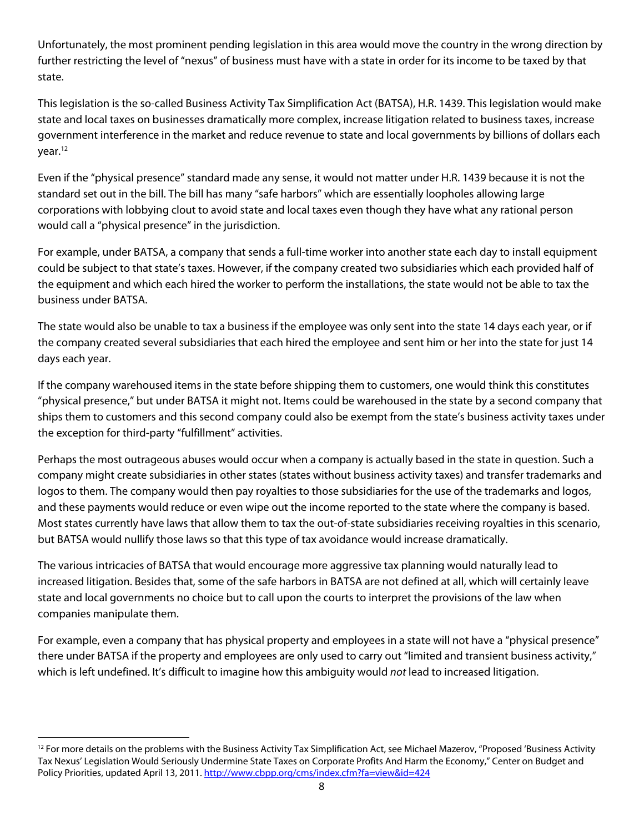Unfortunately, the most prominent pending legislation in this area would move the country in the wrong direction by further restricting the level of "nexus" of business must have with a state in order for its income to be taxed by that state.

This legislation is the so-called Business Activity Tax Simplification Act (BATSA), H.R. 1439. This legislation would make state and local taxes on businesses dramatically more complex, increase litigation related to business taxes, increase government interference in the market and reduce revenue to state and local governments by billions of dollars each year.<sup>12</sup>

Even if the "physical presence" standard made any sense, it would not matter under H.R. 1439 because it is not the standard set out in the bill. The bill has many "safe harbors" which are essentially loopholes allowing large corporations with lobbying clout to avoid state and local taxes even though they have what any rational person would call a "physical presence" in the jurisdiction.

For example, under BATSA, a company that sends a full-time worker into another state each day to install equipment could be subject to that state's taxes. However, if the company created two subsidiaries which each provided half of the equipment and which each hired the worker to perform the installations, the state would not be able to tax the business under BATSA.

The state would also be unable to tax a business if the employee was only sent into the state 14 days each year, or if the company created several subsidiaries that each hired the employee and sent him or her into the state for just 14 days each year.

If the company warehoused items in the state before shipping them to customers, one would think this constitutes "physical presence," but under BATSA it might not. Items could be warehoused in the state by a second company that ships them to customers and this second company could also be exempt from the state's business activity taxes under the exception for third-party "fulfillment" activities.

Perhaps the most outrageous abuses would occur when a company is actually based in the state in question. Such a company might create subsidiaries in other states (states without business activity taxes) and transfer trademarks and logos to them. The company would then pay royalties to those subsidiaries for the use of the trademarks and logos, and these payments would reduce or even wipe out the income reported to the state where the company is based. Most states currently have laws that allow them to tax the out-of-state subsidiaries receiving royalties in this scenario, but BATSA would nullify those laws so that this type of tax avoidance would increase dramatically.

The various intricacies of BATSA that would encourage more aggressive tax planning would naturally lead to increased litigation. Besides that, some of the safe harbors in BATSA are not defined at all, which will certainly leave state and local governments no choice but to call upon the courts to interpret the provisions of the law when companies manipulate them.

For example, even a company that has physical property and employees in a state will not have a "physical presence" there under BATSA if the property and employees are only used to carry out "limited and transient business activity," which is left undefined. It's difficult to imagine how this ambiguity would not lead to increased litigation.

 $12$  For more details on the problems with the Business Activity Tax Simplification Act, see Michael Mazerov, "Proposed 'Business Activity Tax Nexus' Legislation Would Seriously Undermine State Taxes on Corporate Profits And Harm the Economy," Center on Budget and Policy Priorities, updated April 13, 2011. http://www.cbpp.org/cms/index.cfm?fa=view&id=424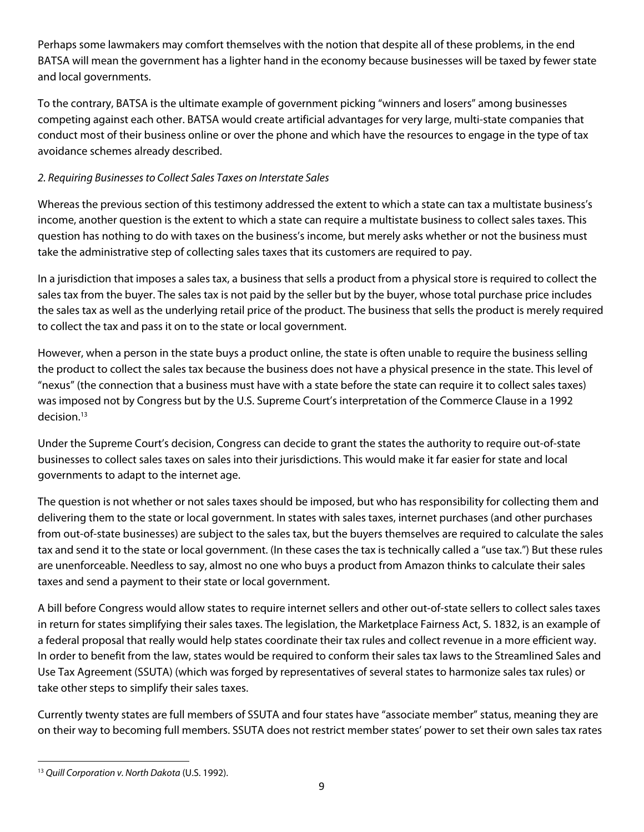Perhaps some lawmakers may comfort themselves with the notion that despite all of these problems, in the end BATSA will mean the government has a lighter hand in the economy because businesses will be taxed by fewer state and local governments.

To the contrary, BATSA is the ultimate example of government picking "winners and losers" among businesses competing against each other. BATSA would create artificial advantages for very large, multi-state companies that conduct most of their business online or over the phone and which have the resources to engage in the type of tax avoidance schemes already described.

### 2. Requiring Businesses to Collect Sales Taxes on Interstate Sales

Whereas the previous section of this testimony addressed the extent to which a state can tax a multistate business's income, another question is the extent to which a state can require a multistate business to collect sales taxes. This question has nothing to do with taxes on the business's income, but merely asks whether or not the business must take the administrative step of collecting sales taxes that its customers are required to pay.

In a jurisdiction that imposes a sales tax, a business that sells a product from a physical store is required to collect the sales tax from the buyer. The sales tax is not paid by the seller but by the buyer, whose total purchase price includes the sales tax as well as the underlying retail price of the product. The business that sells the product is merely required to collect the tax and pass it on to the state or local government.

However, when a person in the state buys a product online, the state is often unable to require the business selling the product to collect the sales tax because the business does not have a physical presence in the state. This level of "nexus" (the connection that a business must have with a state before the state can require it to collect sales taxes) was imposed not by Congress but by the U.S. Supreme Court's interpretation of the Commerce Clause in a 1992 decision.<sup>13</sup>

Under the Supreme Court's decision, Congress can decide to grant the states the authority to require out-of-state businesses to collect sales taxes on sales into their jurisdictions. This would make it far easier for state and local governments to adapt to the internet age.

The question is not whether or not sales taxes should be imposed, but who has responsibility for collecting them and delivering them to the state or local government. In states with sales taxes, internet purchases (and other purchases from out-of-state businesses) are subject to the sales tax, but the buyers themselves are required to calculate the sales tax and send it to the state or local government. (In these cases the tax is technically called a "use tax.") But these rules are unenforceable. Needless to say, almost no one who buys a product from Amazon thinks to calculate their sales taxes and send a payment to their state or local government.

A bill before Congress would allow states to require internet sellers and other out-of-state sellers to collect sales taxes in return for states simplifying their sales taxes. The legislation, the Marketplace Fairness Act, S. 1832, is an example of a federal proposal that really would help states coordinate their tax rules and collect revenue in a more efficient way. In order to benefit from the law, states would be required to conform their sales tax laws to the Streamlined Sales and Use Tax Agreement (SSUTA) (which was forged by representatives of several states to harmonize sales tax rules) or take other steps to simplify their sales taxes.

Currently twenty states are full members of SSUTA and four states have "associate member" status, meaning they are on their way to becoming full members. SSUTA does not restrict member states' power to set their own sales tax rates

 <sup>13</sup> Quill Corporation v. North Dakota (U.S. 1992).